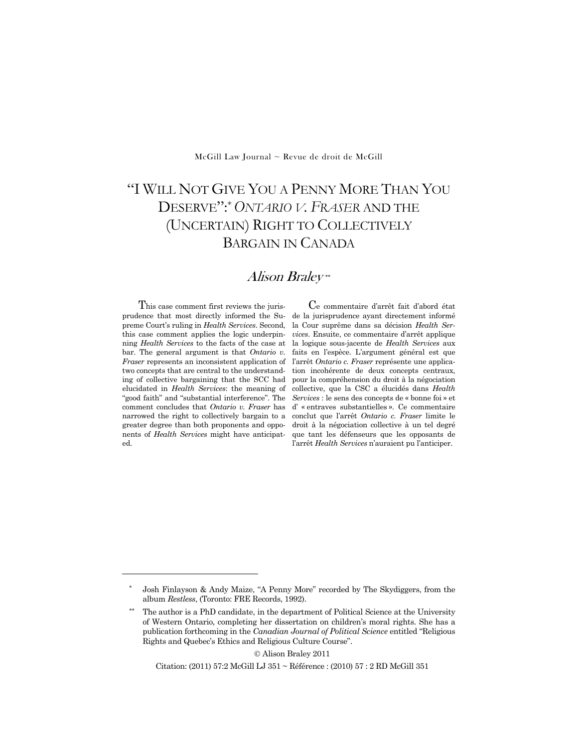$McGill Law Journal ~ Revue de droit de McGill$ 

# "I WILL NOT GIVE YOU A PENNY MORE THAN YOU DESERVE":\**ONTARIO V. FRASER* AND THE (UNCERTAIN) RIGHT TO COLLECTIVELY BARGAIN IN CANADA

## Alison Braley \*\*

 This case comment first reviews the jurisprudence that most directly informed the Supreme Court's ruling in *Health Services*. Second, this case comment applies the logic underpinning *Health Services* to the facts of the case at bar. The general argument is that *Ontario v. Fraser* represents an inconsistent application of two concepts that are central to the understanding of collective bargaining that the SCC had elucidated in *Health Services*: the meaning of "good faith" and "substantial interference". The comment concludes that *Ontario v. Fraser* has narrowed the right to collectively bargain to a greater degree than both proponents and opponents of *Health Services* might have anticipated.

-

Ce commentaire d'arrêt fait d'abord état de la jurisprudence ayant directement informé la Cour suprême dans sa décision *Health Services*. Ensuite, ce commentaire d'arrêt applique la logique sous-jacente de *Health Services* aux faits en l'espèce. L'argument général est que l'arrêt *Ontario c. Fraser* représente une application incohérente de deux concepts centraux, pour la compréhension du droit à la négociation collective, que la CSC a élucidés dans *Health Services* : le sens des concepts de « bonne foi » et d' « entraves substantielles ». Ce commentaire conclut que l'arrêt *Ontario c. Fraser* limite le droit à la négociation collective à un tel degré que tant les défenseurs que les opposants de l'arrêt *Health Services* n'auraient pu l'anticiper.

© Alison Braley 2011

Citation: (2011) 57:2 McGill LJ 351 ~ Référence : (2010) 57 : 2 RD McGill 351

<sup>\*</sup> Josh Finlayson & Andy Maize, "A Penny More" recorded by The Skydiggers, from the album *Restless*, (Toronto: FRE Records, 1992).

The author is a PhD candidate, in the department of Political Science at the University of Western Ontario, completing her dissertation on children's moral rights. She has a publication forthcoming in the *Canadian Journal of Political Science* entitled "Religious Rights and Quebec's Ethics and Religious Culture Course".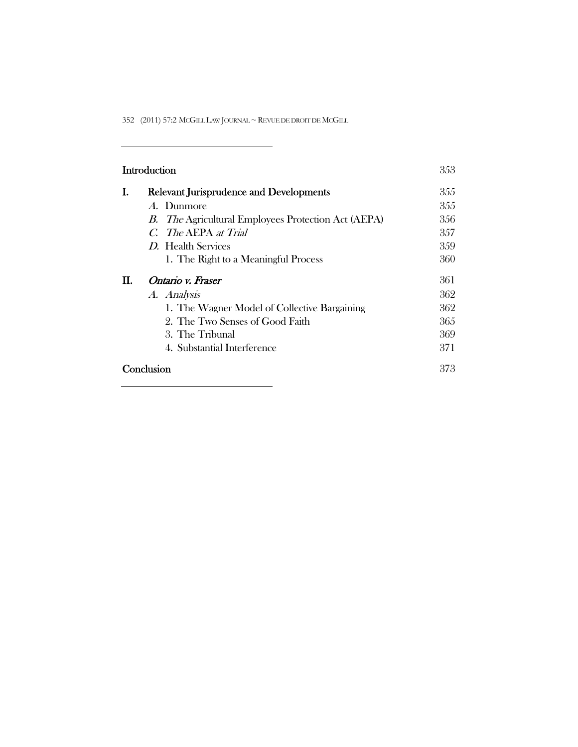| Introduction      |                                                            | 353   |
|-------------------|------------------------------------------------------------|-------|
| Ι.                | <b>Relevant Jurisprudence and Developments</b>             | 3.5.5 |
|                   | A. Dunmore                                                 | 3.5.5 |
|                   | <b>B.</b> The Agricultural Employees Protection Act (AEPA) | 3.56  |
|                   | C. The AEPA at Trial                                       | 357   |
|                   | D. Health Services                                         | 3.59  |
|                   | 1. The Right to a Meaningful Process                       | 360   |
| П.                | Ontario v. Fraser                                          | 361   |
|                   | A. Analysis                                                | 362   |
|                   | 1. The Wagner Model of Collective Bargaining               | 362   |
|                   | 2. The Two Senses of Good Faith                            | 365   |
|                   | 3. The Tribunal                                            | 369   |
|                   | 4. Substantial Interference                                | 371   |
| <b>Conclusion</b> |                                                            | 373   |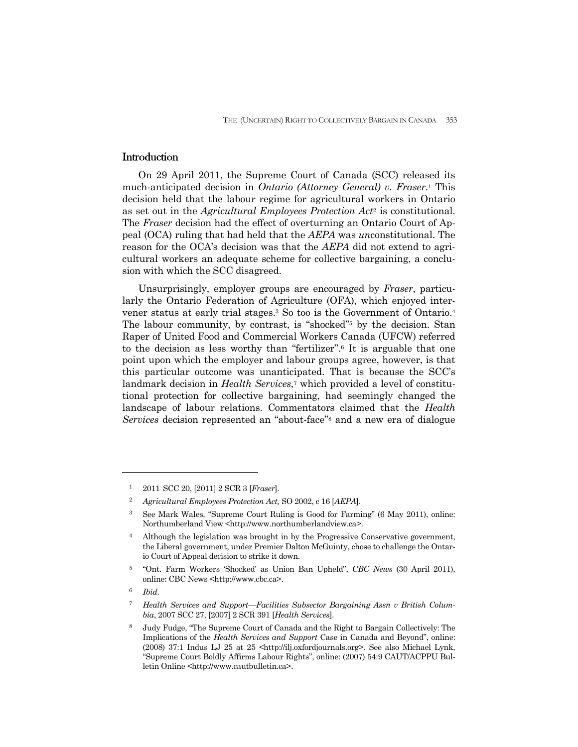## **Introduction**

 On 29 April 2011, the Supreme Court of Canada (SCC) released its much-anticipated decision in *Ontario (Attorney General) v. Fraser*.1 This decision held that the labour regime for agricultural workers in Ontario as set out in the *Agricultural Employees Protection Act*2 is constitutional. The *Fraser* decision had the effect of overturning an Ontario Court of Appeal (OCA) ruling that had held that the *AEPA* was *un*constitutional. The reason for the OCA's decision was that the *AEPA* did not extend to agricultural workers an adequate scheme for collective bargaining, a conclusion with which the SCC disagreed.

 Unsurprisingly, employer groups are encouraged by *Fraser*, particularly the Ontario Federation of Agriculture (OFA), which enjoyed intervener status at early trial stages.3 So too is the Government of Ontario.4 The labour community, by contrast, is "shocked"<sup>5</sup> by the decision. Stan Raper of United Food and Commercial Workers Canada (UFCW) referred to the decision as less worthy than "fertilizer".6 It is arguable that one point upon which the employer and labour groups agree, however, is that this particular outcome was unanticipated. That is because the SCC's landmark decision in *Health Services*,7 which provided a level of constitutional protection for collective bargaining, had seemingly changed the landscape of labour relations. Commentators claimed that the *Health Services* decision represented an "about-face"8 and a new era of dialogue

<sup>1 2011</sup> SCC 20, [2011] 2 SCR 3 [*Fraser*].

<sup>2</sup> *Agricultural Employees Protection Act,* SO 2002, c 16 [*AEPA*].

<sup>3</sup> See Mark Wales, "Supreme Court Ruling is Good for Farming" (6 May 2011), online: Northumberland View <http://www.northumberlandview.ca>.

<sup>&</sup>lt;sup>4</sup> Although the legislation was brought in by the Progressive Conservative government, the Liberal government, under Premier Dalton McGuinty, chose to challenge the Ontario Court of Appeal decision to strike it down.

<sup>5 &</sup>quot;Ont. Farm Workers 'Shocked' as Union Ban Upheld", *CBC News* (30 April 2011), online: CBC News <http://www.cbc.ca>.

<sup>6</sup> *Ibid.*

<sup>7</sup> *Health Services and Support—Facilities Subsector Bargaining Assn v British Columbia*, 2007 SCC 27, [2007] 2 SCR 391 [*Health Services*].

<sup>8</sup> Judy Fudge, "The Supreme Court of Canada and the Right to Bargain Collectively: The Implications of the *Health Services and Support* Case in Canada and Beyond", online: (2008) 37:1 Indus LJ 25 at 25  $\lt$ http://ilj.oxfordjournals.org>. See also Michael Lynk, "Supreme Court Boldly Affirms Labour Rights", online: (2007) 54:9 CAUT/ACPPU Bulletin Online <http://www.cautbulletin.ca>.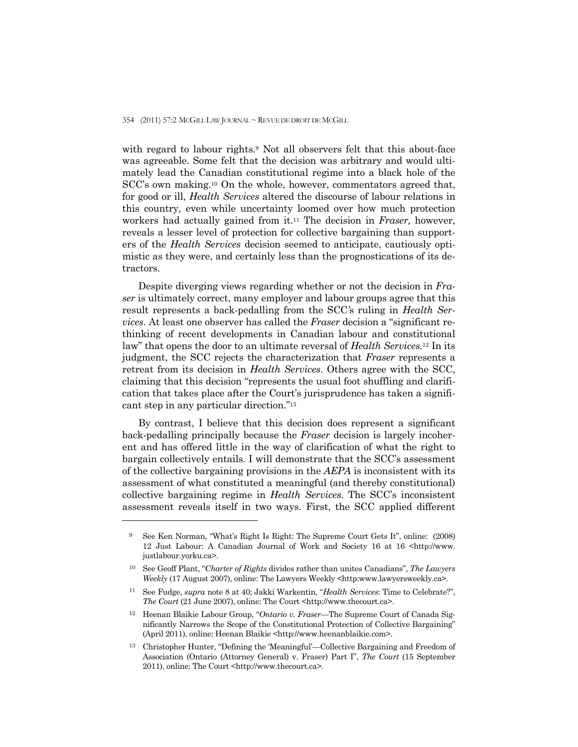with regard to labour rights.<sup>9</sup> Not all observers felt that this about-face was agreeable. Some felt that the decision was arbitrary and would ultimately lead the Canadian constitutional regime into a black hole of the SCC's own making.10 On the whole, however, commentators agreed that, for good or ill, *Health Services* altered the discourse of labour relations in this country, even while uncertainty loomed over how much protection workers had actually gained from it.11 The decision in *Fraser,* however, reveals a lesser level of protection for collective bargaining than supporters of the *Health Services* decision seemed to anticipate, cautiously optimistic as they were, and certainly less than the prognostications of its detractors.

 Despite diverging views regarding whether or not the decision in *Fraser* is ultimately correct, many employer and labour groups agree that this result represents a back-pedalling from the SCC*'*s ruling in *Health Services*. At least one observer has called the *Fraser* decision a "significant rethinking of recent developments in Canadian labour and constitutional law" that opens the door to an ultimate reversal of *Health Services.*12 In its judgment, the SCC rejects the characterization that *Fraser* represents a retreat from its decision in *Health Services*. Others agree with the SCC, claiming that this decision "represents the usual foot shuffling and clarification that takes place after the Court's jurisprudence has taken a significant step in any particular direction."13

 By contrast, I believe that this decision does represent a significant back-pedalling principally because the *Fraser* decision is largely incoherent and has offered little in the way of clarification of what the right to bargain collectively entails. I will demonstrate that the SCC's assessment of the collective bargaining provisions in the *AEPA* is inconsistent with its assessment of what constituted a meaningful (and thereby constitutional) collective bargaining regime in *Health Services*. The SCC's inconsistent assessment reveals itself in two ways. First, the SCC applied different

<sup>9</sup> See Ken Norman, "What's Right Is Right: The Supreme Court Gets It", online: (2008) 12 Just Labour: A Canadian Journal of Work and Society 16 at 16 <http://www. justlabour.yorku.ca>.

<sup>10</sup> See Geoff Plant, "*Charter of Rights* divides rather than unites Canadians", *The Lawyers Weekly* (17 August 2007), online: The Lawyers Weekly <http:www.lawyersweekly.ca>.

<sup>11</sup> See Fudge, *supra* note 8 at 40; Jakki Warkentin, "*Health Services*: Time to Celebrate?", *The Court* (21 June 2007), online: The Court <http://www.thecourt.ca>.

<sup>12</sup> Heenan Blaikie Labour Group, "*Ontario v. Fraser—*The Supreme Court of Canada Significantly Narrows the Scope of the Constitutional Protection of Collective Bargaining" (April 2011), online: Heenan Blaikie <http://www.heenanblaikie.com>.

<sup>13</sup> Christopher Hunter, "Defining the 'Meaningful'—Collective Bargaining and Freedom of Association (Ontario (Attorney General) v. Fraser) Part I", *The Court* (15 September 2011), online: The Court <http://www.thecourt.ca>.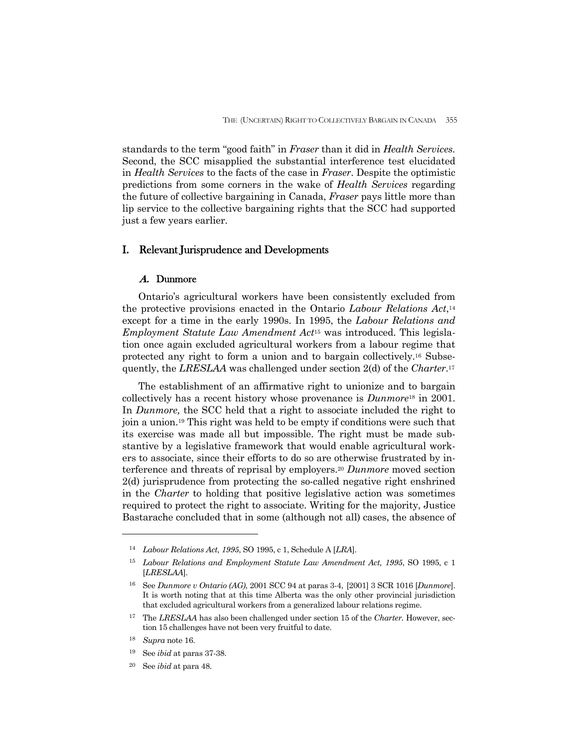standards to the term "good faith" in *Fraser* than it did in *Health Services.* Second, the SCC misapplied the substantial interference test elucidated in *Health Services* to the facts of the case in *Fraser*. Despite the optimistic predictions from some corners in the wake of *Health Services* regarding the future of collective bargaining in Canada, *Fraser* pays little more than lip service to the collective bargaining rights that the SCC had supported just a few years earlier.

## I. Relevant Jurisprudence and Developments

## A. Dunmore

Ontario's agricultural workers have been consistently excluded from the protective provisions enacted in the Ontario *Labour Relations Act*,14 except for a time in the early 1990s. In 1995, the *Labour Relations and Employment Statute Law Amendment Act*15 was introduced. This legislation once again excluded agricultural workers from a labour regime that protected any right to form a union and to bargain collectively.16 Subsequently, the *LRESLAA* was challenged under section 2(d) of the *Charter*.17

 The establishment of an affirmative right to unionize and to bargain collectively has a recent history whose provenance is *Dunmore*18 in 2001. In *Dunmore,* the SCC held that a right to associate included the right to join a union.19 This right was held to be empty if conditions were such that its exercise was made all but impossible. The right must be made substantive by a legislative framework that would enable agricultural workers to associate, since their efforts to do so are otherwise frustrated by interference and threats of reprisal by employers.20 *Dunmore* moved section 2(d) jurisprudence from protecting the so-called negative right enshrined in the *Charter* to holding that positive legislative action was sometimes required to protect the right to associate. Writing for the majority, Justice Bastarache concluded that in some (although not all) cases, the absence of

-

20 See *ibid* at para 48.

<sup>14</sup> *Labour Relations Act, 1995*, SO 1995, c 1, Schedule A [*LRA*].

<sup>15</sup> *Labour Relations and Employment Statute Law Amendment Act, 1995*, SO 1995, c 1 [*LRESLAA*].

<sup>16</sup> See *Dunmore v Ontario (AG)*, 2001 SCC 94 at paras 3-4, [2001] 3 SCR 1016 [*Dunmore*]. It is worth noting that at this time Alberta was the only other provincial jurisdiction that excluded agricultural workers from a generalized labour relations regime.

<sup>17</sup> The *LRESLAA* has also been challenged under section 15 of the *Charter.* However, section 15 challenges have not been very fruitful to date.

<sup>18</sup> *Supra* note 16.

<sup>19</sup> See *ibid* at paras 37-38.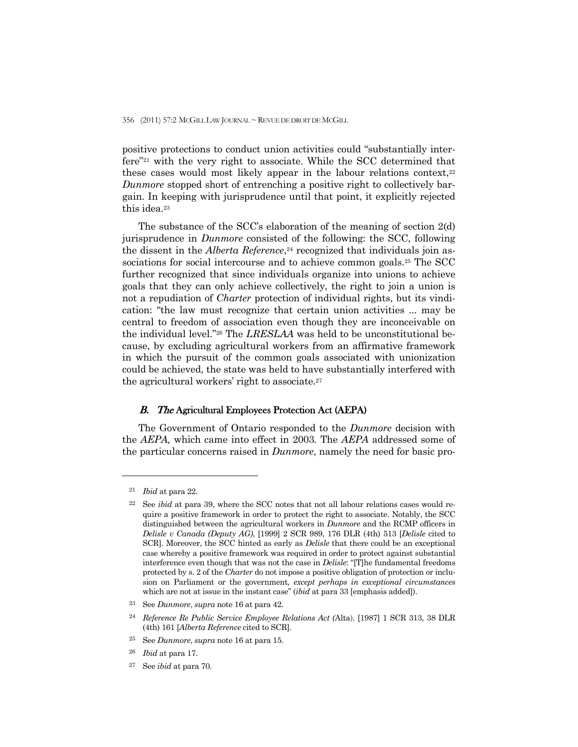positive protections to conduct union activities could "substantially interfere"21 with the very right to associate. While the SCC determined that these cases would most likely appear in the labour relations context,<sup>22</sup> *Dunmore* stopped short of entrenching a positive right to collectively bargain. In keeping with jurisprudence until that point, it explicitly rejected this idea.23

 The substance of the SCC's elaboration of the meaning of section 2(d) jurisprudence in *Dunmore* consisted of the following: the SCC, following the dissent in the *Alberta Reference*,<sup>24</sup> recognized that individuals join associations for social intercourse and to achieve common goals.<sup>25</sup> The SCC further recognized that since individuals organize into unions to achieve goals that they can only achieve collectively, the right to join a union is not a repudiation of *Charter* protection of individual rights, but its vindication: "the law must recognize that certain union activities ... may be central to freedom of association even though they are inconceivable on the individual level."26 The *LRESLAA* was held to be unconstitutional because, by excluding agricultural workers from an affirmative framework in which the pursuit of the common goals associated with unionization could be achieved, the state was held to have substantially interfered with the agricultural workers' right to associate.27

#### B. The Agricultural Employees Protection Act (AEPA)

 The Government of Ontario responded to the *Dunmore* decision with the *AEPA,* which came into effect in 2003*.* The *AEPA* addressed some of the particular concerns raised in *Dunmore*, namely the need for basic pro-

<sup>21</sup> *Ibid* at para 22.

<sup>22</sup> See *ibid* at para 39, where the SCC notes that not all labour relations cases would require a positive framework in order to protect the right to associate. Notably, the SCC distinguished between the agricultural workers in *Dunmore* and the RCMP officers in *Delisle v Canada (Deputy AG)*, [1999] 2 SCR 989, 176 DLR (4th) 513 [*Delisle* cited to SCR]. Moreover, the SCC hinted as early as *Delisle* that there could be an exceptional case whereby a positive framework was required in order to protect against substantial interference even though that was not the case in *Delisle*: "[T]he fundamental freedoms protected by s. 2 of the *Charter* do not impose a positive obligation of protection or inclusion on Parliament or the government*, except perhaps in exceptional circumstances* which are not at issue in the instant case" (*ibid* at para 33 [emphasis added]).

<sup>23</sup> See *Dunmore*, *supra* note 16 at para 42.

<sup>24</sup> *Reference Re Public Service Employee Relations Act (*Alta), [1987] 1 SCR 313, 38 DLR (4th) 161 [*Alberta Reference* cited to SCR].

<sup>25</sup> See *Dunmore*, *supra* note 16 at para 15.

<sup>26</sup> *Ibid* at para 17.

<sup>27</sup> See *ibid* at para 70.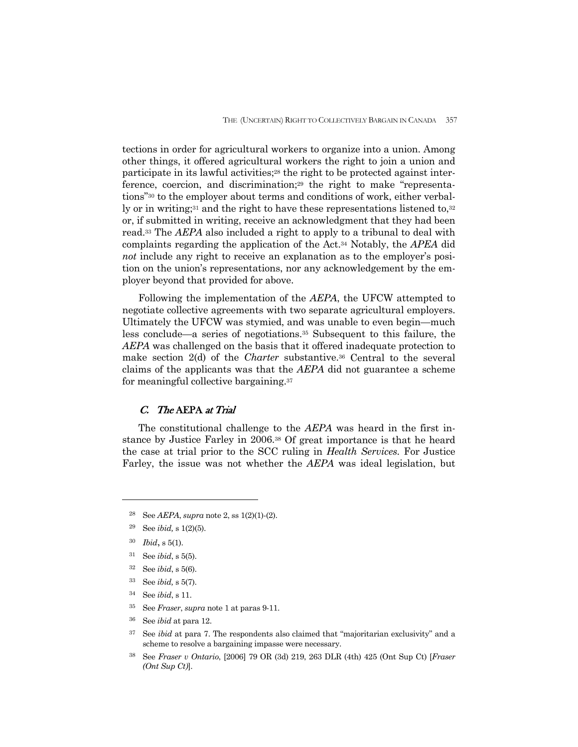tections in order for agricultural workers to organize into a union. Among other things, it offered agricultural workers the right to join a union and participate in its lawful activities;28 the right to be protected against interference, coercion, and discrimination;29 the right to make "representations"30 to the employer about terms and conditions of work, either verbally or in writing;31 and the right to have these representations listened to,32 or, if submitted in writing, receive an acknowledgment that they had been read.33 The *AEPA* also included a right to apply to a tribunal to deal with complaints regarding the application of the Act.34 Notably, the *APEA* did *not* include any right to receive an explanation as to the employer's position on the union's representations, nor any acknowledgement by the employer beyond that provided for above.

 Following the implementation of the *AEPA*, the UFCW attempted to negotiate collective agreements with two separate agricultural employers. Ultimately the UFCW was stymied, and was unable to even begin—much less conclude—a series of negotiations.35 Subsequent to this failure, the *AEPA* was challenged on the basis that it offered inadequate protection to make section 2(d) of the *Charter* substantive.36 Central to the several claims of the applicants was that the *AEPA* did not guarantee a scheme for meaningful collective bargaining.37

## C. The AEPA at Trial

 The constitutional challenge to the *AEPA* was heard in the first instance by Justice Farley in 2006.38 Of great importance is that he heard the case at trial prior to the SCC ruling in *Health Services.* For Justice Farley, the issue was not whether the *AEPA* was ideal legislation, but

-

- 34 See *ibid*, s 11.
- 35 See *Fraser*, *supra* note 1 at paras 9-11.
- 36 See *ibid* at para 12.

38 See *Fraser v Ontario*, [2006] 79 OR (3d) 219, 263 DLR (4th) 425 (Ont Sup Ct) [*Fraser (Ont Sup Ct)*].

<sup>28</sup>See *AEPA*, *supra* note 2, ss 1(2)(1)-(2).

<sup>29</sup> See *ibid,* s 1(2)(5).

<sup>30</sup> *Ibid*, s 5(1).

<sup>31</sup> See *ibid*, s 5(5).

<sup>32</sup> See *ibid*, s 5(6).

<sup>33</sup> See *ibid,* s 5(7).

<sup>37</sup> See *ibid* at para 7. The respondents also claimed that "majoritarian exclusivity" and a scheme to resolve a bargaining impasse were necessary.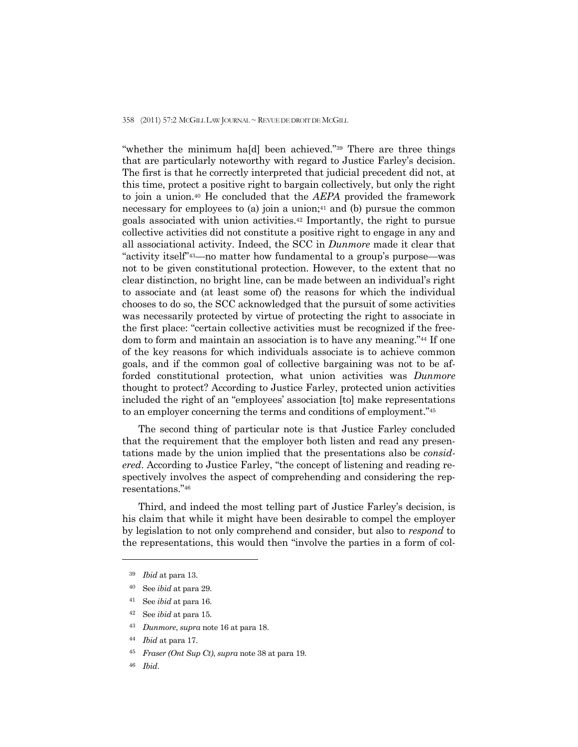"whether the minimum ha[d] been achieved."39 There are three things that are particularly noteworthy with regard to Justice Farley's decision. The first is that he correctly interpreted that judicial precedent did not, at this time, protect a positive right to bargain collectively, but only the right to join a union.40 He concluded that the *AEPA* provided the framework necessary for employees to (a) join a union;<sup>41</sup> and (b) pursue the common goals associated with union activities.42 Importantly, the right to pursue collective activities did not constitute a positive right to engage in any and all associational activity. Indeed, the SCC in *Dunmore* made it clear that "activity itself"43—no matter how fundamental to a group's purpose—was not to be given constitutional protection. However, to the extent that no clear distinction, no bright line, can be made between an individual's right to associate and (at least some of) the reasons for which the individual chooses to do so, the SCC acknowledged that the pursuit of some activities was necessarily protected by virtue of protecting the right to associate in the first place: "certain collective activities must be recognized if the freedom to form and maintain an association is to have any meaning."44 If one of the key reasons for which individuals associate is to achieve common goals, and if the common goal of collective bargaining was not to be afforded constitutional protection, what union activities was *Dunmore* thought to protect? According to Justice Farley, protected union activities included the right of an "employees' association [to] make representations to an employer concerning the terms and conditions of employment."45

 The second thing of particular note is that Justice Farley concluded that the requirement that the employer both listen and read any presentations made by the union implied that the presentations also be *considered*. According to Justice Farley, "the concept of listening and reading respectively involves the aspect of comprehending and considering the representations."46

 Third, and indeed the most telling part of Justice Farley's decision, is his claim that while it might have been desirable to compel the employer by legislation to not only comprehend and consider, but also to *respond* to the representations, this would then "involve the parties in a form of col-

- <sup>40</sup>See *ibid* at para 29.
- 41 See *ibid* at para 16.
- 42 See *ibid* at para 15.
- <sup>43</sup> *Dunmore*, *supra* note 16 at para 18.
- <sup>44</sup> *Ibid* at para 17.
- <sup>45</sup> *Fraser (Ont Sup Ct)*, *supra* note 38 at para 19.
- 46 *Ibid*.

<sup>39</sup> *Ibid* at para 13.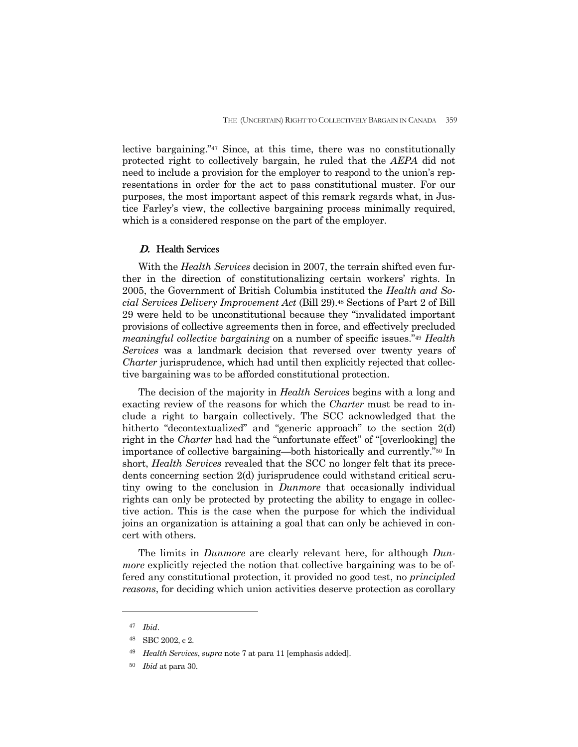lective bargaining."47 Since, at this time, there was no constitutionally protected right to collectively bargain, he ruled that the *AEPA* did not need to include a provision for the employer to respond to the union's representations in order for the act to pass constitutional muster. For our purposes, the most important aspect of this remark regards what, in Justice Farley's view, the collective bargaining process minimally required, which is a considered response on the part of the employer.

### D. Health Services

 With the *Health Services* decision in 2007, the terrain shifted even further in the direction of constitutionalizing certain workers' rights. In 2005, the Government of British Columbia instituted the *Health and Social Services Delivery Improvement Act* (Bill 29).48 Sections of Part 2 of Bill 29 were held to be unconstitutional because they "invalidated important provisions of collective agreements then in force, and effectively precluded *meaningful collective bargaining* on a number of specific issues."49 *Health Services* was a landmark decision that reversed over twenty years of *Charter* jurisprudence, which had until then explicitly rejected that collective bargaining was to be afforded constitutional protection.

 The decision of the majority in *Health Services* begins with a long and exacting review of the reasons for which the *Charter* must be read to include a right to bargain collectively. The SCC acknowledged that the hitherto "decontextualized" and "generic approach" to the section 2(d) right in the *Charter* had had the "unfortunate effect" of "[overlooking] the importance of collective bargaining—both historically and currently."50 In short, *Health Services* revealed that the SCC no longer felt that its precedents concerning section 2(d) jurisprudence could withstand critical scrutiny owing to the conclusion in *Dunmore* that occasionally individual rights can only be protected by protecting the ability to engage in collective action. This is the case when the purpose for which the individual joins an organization is attaining a goal that can only be achieved in concert with others.

 The limits in *Dunmore* are clearly relevant here, for although *Dunmore* explicitly rejected the notion that collective bargaining was to be offered any constitutional protection, it provided no good test, no *principled reasons*, for deciding which union activities deserve protection as corollary

<sup>47</sup> *Ibid*.

<sup>48</sup> SBC 2002, c 2.

<sup>49</sup> *Health Services*, *supra* note 7 at para 11 [emphasis added].

<sup>50</sup> *Ibid* at para 30.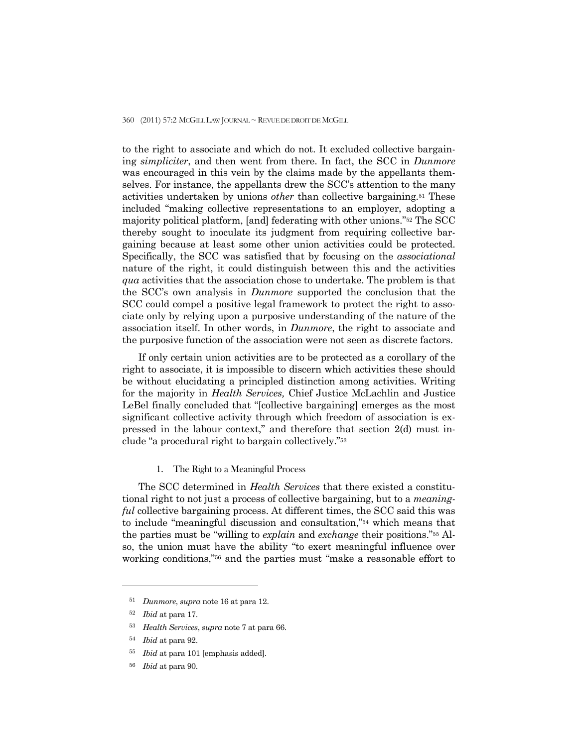to the right to associate and which do not. It excluded collective bargaining *simpliciter*, and then went from there. In fact, the SCC in *Dunmore*  was encouraged in this vein by the claims made by the appellants themselves. For instance, the appellants drew the SCC's attention to the many activities undertaken by unions *other* than collective bargaining.51 These included "making collective representations to an employer, adopting a majority political platform, [and] federating with other unions."52 The SCC thereby sought to inoculate its judgment from requiring collective bargaining because at least some other union activities could be protected. Specifically, the SCC was satisfied that by focusing on the *associational*  nature of the right, it could distinguish between this and the activities *qua* activities that the association chose to undertake. The problem is that the SCC's own analysis in *Dunmore* supported the conclusion that the SCC could compel a positive legal framework to protect the right to associate only by relying upon a purposive understanding of the nature of the association itself. In other words, in *Dunmore*, the right to associate and the purposive function of the association were not seen as discrete factors.

 If only certain union activities are to be protected as a corollary of the right to associate, it is impossible to discern which activities these should be without elucidating a principled distinction among activities. Writing for the majority in *Health Services,* Chief Justice McLachlin and Justice LeBel finally concluded that "[collective bargaining] emerges as the most significant collective activity through which freedom of association is expressed in the labour context," and therefore that section 2(d) must include "a procedural right to bargain collectively."53

1. The Right to a Meaningful Process

 The SCC determined in *Health Services* that there existed a constitutional right to not just a process of collective bargaining, but to a *meaningful* collective bargaining process. At different times, the SCC said this was to include "meaningful discussion and consultation,"54 which means that the parties must be "willing to *explain* and *exchange* their positions."55 Also, the union must have the ability "to exert meaningful influence over working conditions,"56 and the parties must "make a reasonable effort to

<sup>51</sup> *Dunmore*, *supra* note 16 at para 12.

<sup>52</sup> *Ibid* at para 17.

<sup>53</sup> *Health Services*, *supra* note 7 at para 66.

<sup>54</sup> *Ibid* at para 92.

<sup>55</sup> *Ibid* at para 101 [emphasis added].

<sup>56</sup> *Ibid* at para 90.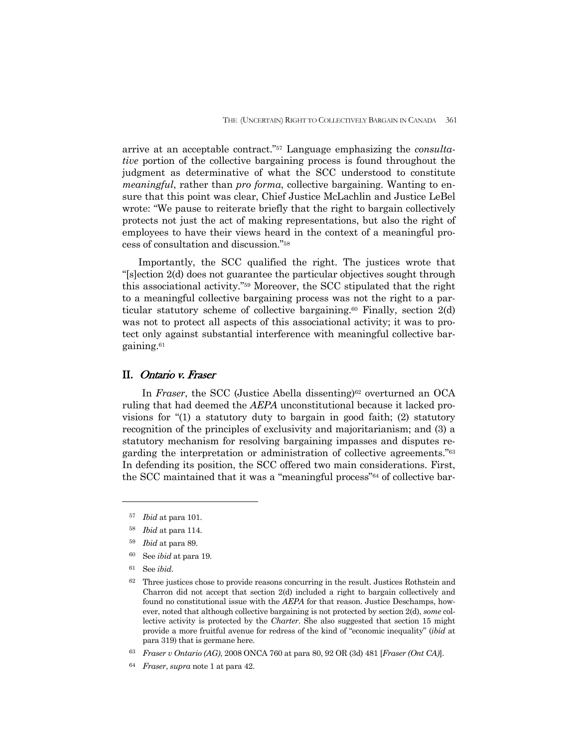arrive at an acceptable contract."57 Language emphasizing the *consultative* portion of the collective bargaining process is found throughout the judgment as determinative of what the SCC understood to constitute *meaningful*, rather than *pro forma*, collective bargaining. Wanting to ensure that this point was clear, Chief Justice McLachlin and Justice LeBel wrote: "We pause to reiterate briefly that the right to bargain collectively protects not just the act of making representations, but also the right of employees to have their views heard in the context of a meaningful process of consultation and discussion."58

 Importantly, the SCC qualified the right. The justices wrote that "[s]ection 2(d) does not guarantee the particular objectives sought through this associational activity."59 Moreover, the SCC stipulated that the right to a meaningful collective bargaining process was not the right to a particular statutory scheme of collective bargaining.<sup>60</sup> Finally, section  $2(d)$ was not to protect all aspects of this associational activity; it was to protect only against substantial interference with meaningful collective bargaining.61

## II. Ontario v. Fraser

In *Fraser*, the SCC (Justice Abella dissenting)<sup>62</sup> overturned an OCA ruling that had deemed the *AEPA* unconstitutional because it lacked provisions for " $(1)$  a statutory duty to bargain in good faith;  $(2)$  statutory recognition of the principles of exclusivity and majoritarianism; and (3) a statutory mechanism for resolving bargaining impasses and disputes regarding the interpretation or administration of collective agreements."63 In defending its position, the SCC offered two main considerations. First, the SCC maintained that it was a "meaningful process"64 of collective bar-

<sup>57</sup> *Ibid* at para 101.

<sup>58</sup> *Ibid* at para 114.

<sup>59</sup> *Ibid* at para 89.

<sup>60</sup> See *ibid* at para 19.

<sup>61</sup> See *ibid*.

<sup>62</sup> Three justices chose to provide reasons concurring in the result. Justices Rothstein and Charron did not accept that section 2(d) included a right to bargain collectively and found no constitutional issue with the *AEPA* for that reason. Justice Deschamps, however, noted that although collective bargaining is not protected by section 2(d), *some* collective activity is protected by the *Charter*. She also suggested that section 15 might provide a more fruitful avenue for redress of the kind of "economic inequality" (*ibid* at para 319) that is germane here.

<sup>63</sup> *Fraser v Ontario (AG)*, 2008 ONCA 760 at para 80, 92 OR (3d) 481 [*Fraser (Ont CA)*].

<sup>64</sup> *Fraser*, *supra* note 1 at para 42.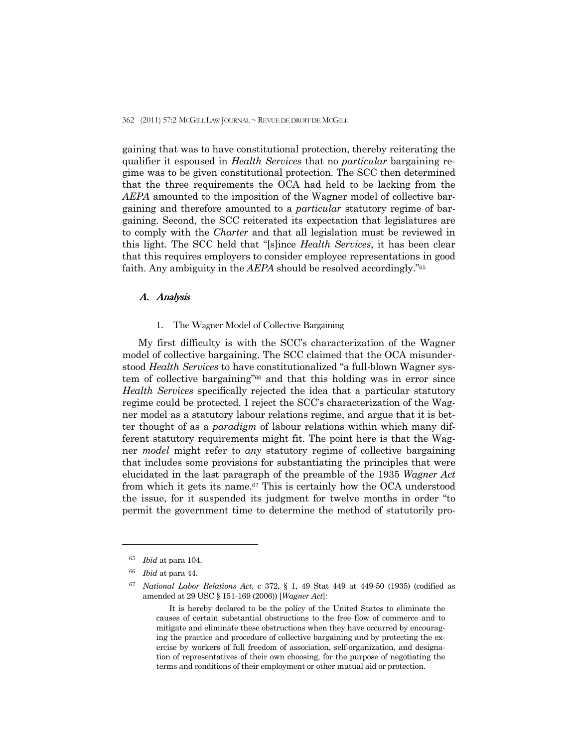gaining that was to have constitutional protection, thereby reiterating the qualifier it espoused in *Health Services* that no *particular* bargaining regime was to be given constitutional protection. The SCC then determined that the three requirements the OCA had held to be lacking from the *AEPA* amounted to the imposition of the Wagner model of collective bargaining and therefore amounted to a *particular* statutory regime of bargaining. Second, the SCC reiterated its expectation that legislatures are to comply with the *Charter* and that all legislation must be reviewed in this light. The SCC held that "[s]ince *Health Services*, it has been clear that this requires employers to consider employee representations in good faith. Any ambiguity in the *AEPA* should be resolved accordingly."65

### A. Analysis

#### 1. The Wagner Model of Collective Bargaining

 My first difficulty is with the SCC's characterization of the Wagner model of collective bargaining. The SCC claimed that the OCA misunderstood *Health Services* to have constitutionalized "a full-blown Wagner system of collective bargaining"66 and that this holding was in error since *Health Services* specifically rejected the idea that a particular statutory regime could be protected. I reject the SCC's characterization of the Wagner model as a statutory labour relations regime, and argue that it is better thought of as a *paradigm* of labour relations within which many different statutory requirements might fit. The point here is that the Wagner *model* might refer to *any* statutory regime of collective bargaining that includes some provisions for substantiating the principles that were elucidated in the last paragraph of the preamble of the 1935 *Wagner Act*  from which it gets its name*.*<sup>67</sup> This is certainly how the OCA understood the issue, for it suspended its judgment for twelve months in order "to permit the government time to determine the method of statutorily pro-

<sup>65</sup> *Ibid* at para 104.

<sup>66</sup> *Ibid* at para 44.

<sup>67</sup> *National Labor Relations Act*, c 372, § 1, 49 Stat 449 at 449-50 (1935) (codified as amended at 29 USC § 151-169 (2006)) [*Wagner Act*]:

It is hereby declared to be the policy of the United States to eliminate the causes of certain substantial obstructions to the free flow of commerce and to mitigate and eliminate these obstructions when they have occurred by encouraging the practice and procedure of collective bargaining and by protecting the exercise by workers of full freedom of association, self-organization, and designation of representatives of their own choosing, for the purpose of negotiating the terms and conditions of their employment or other mutual aid or protection.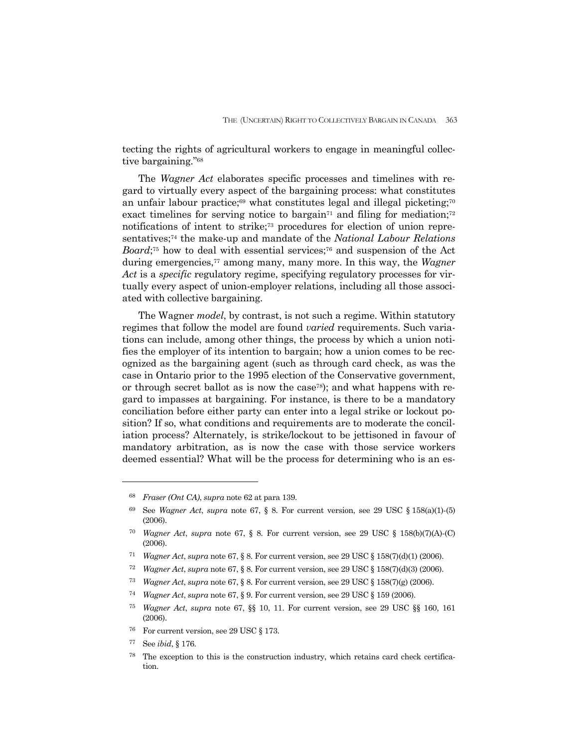tecting the rights of agricultural workers to engage in meaningful collective bargaining."68

 The *Wagner Act* elaborates specific processes and timelines with regard to virtually every aspect of the bargaining process: what constitutes an unfair labour practice; $69$  what constitutes legal and illegal picketing; $70$ exact timelines for serving notice to bargain<sup> $71$ </sup> and filing for mediation;<sup>72</sup> notifications of intent to strike;73 procedures for election of union representatives;74 the make-up and mandate of the *National Labour Relations Board*;75 how to deal with essential services;76 and suspension of the Act during emergencies,77 among many, many more. In this way, the *Wagner Act* is a *specific* regulatory regime, specifying regulatory processes for virtually every aspect of union-employer relations, including all those associated with collective bargaining.

 The Wagner *model*, by contrast, is not such a regime. Within statutory regimes that follow the model are found *varied* requirements. Such variations can include, among other things, the process by which a union notifies the employer of its intention to bargain; how a union comes to be recognized as the bargaining agent (such as through card check, as was the case in Ontario prior to the 1995 election of the Conservative government, or through secret ballot as is now the case78); and what happens with regard to impasses at bargaining. For instance, is there to be a mandatory conciliation before either party can enter into a legal strike or lockout position? If so, what conditions and requirements are to moderate the conciliation process? Alternately, is strike/lockout to be jettisoned in favour of mandatory arbitration, as is now the case with those service workers deemed essential? What will be the process for determining who is an es-

<sup>68</sup> *Fraser (Ont CA)*, *supra* note 62 at para 139.

<sup>69</sup> See *Wagner Act*, *supra* note 67, § 8. For current version, see 29 USC § 158(a)(1)-(5) (2006).

<sup>70</sup> *Wagner Act*, *supra* note 67, § 8. For current version, see 29 USC § 158(b)(7)(A)-(C) (2006).

<sup>71</sup> *Wagner Act*, *supra* note 67, § 8. For current version, see 29 USC § 158(7)(d)(1) (2006).

<sup>72</sup> *Wagner Act*, *supra* note 67, § 8. For current version, see 29 USC § 158(7)(d)(3) (2006).

<sup>73</sup> *Wagner Act*, *supra* note 67, § 8. For current version, see 29 USC § 158(7)(g) (2006).

<sup>74</sup> *Wagner Act*, *supra* note 67, § 9. For current version, see 29 USC § 159 (2006).

<sup>75</sup> *Wagner Act*, *supra* note 67, §§ 10, 11. For current version, see 29 USC §§ 160, 161 (2006).

<sup>76</sup>For current version, see 29 USC § 173.

<sup>77</sup> See *ibid*, § 176.

<sup>78</sup> The exception to this is the construction industry, which retains card check certification.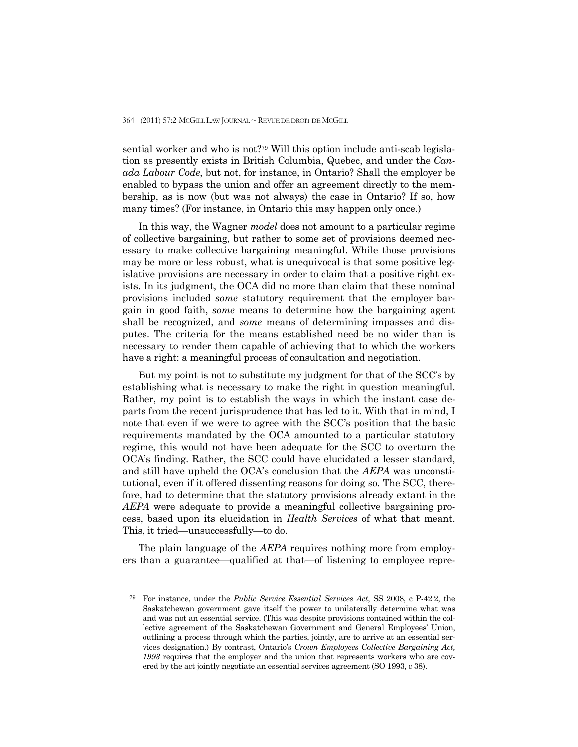sential worker and who is not?79 Will this option include anti-scab legislation as presently exists in British Columbia, Quebec, and under the *Canada Labour Code*, but not, for instance, in Ontario? Shall the employer be enabled to bypass the union and offer an agreement directly to the membership, as is now (but was not always) the case in Ontario? If so, how many times? (For instance, in Ontario this may happen only once.)

 In this way, the Wagner *model* does not amount to a particular regime of collective bargaining, but rather to some set of provisions deemed necessary to make collective bargaining meaningful. While those provisions may be more or less robust, what is unequivocal is that some positive legislative provisions are necessary in order to claim that a positive right exists. In its judgment, the OCA did no more than claim that these nominal provisions included *some* statutory requirement that the employer bargain in good faith, *some* means to determine how the bargaining agent shall be recognized, and *some* means of determining impasses and disputes. The criteria for the means established need be no wider than is necessary to render them capable of achieving that to which the workers have a right: a meaningful process of consultation and negotiation.

 But my point is not to substitute my judgment for that of the SCC's by establishing what is necessary to make the right in question meaningful. Rather, my point is to establish the ways in which the instant case departs from the recent jurisprudence that has led to it. With that in mind, I note that even if we were to agree with the SCC's position that the basic requirements mandated by the OCA amounted to a particular statutory regime, this would not have been adequate for the SCC to overturn the OCA's finding. Rather, the SCC could have elucidated a lesser standard, and still have upheld the OCA's conclusion that the *AEPA* was unconstitutional, even if it offered dissenting reasons for doing so. The SCC, therefore, had to determine that the statutory provisions already extant in the *AEPA* were adequate to provide a meaningful collective bargaining process, based upon its elucidation in *Health Services* of what that meant. This, it tried—unsuccessfully—to do.

 The plain language of the *AEPA* requires nothing more from employers than a guarantee—qualified at that—of listening to employee repre-

<sup>79</sup> For instance, under the *Public Service Essential Services Act*, SS 2008, c P-42.2, the Saskatchewan government gave itself the power to unilaterally determine what was and was not an essential service. (This was despite provisions contained within the collective agreement of the Saskatchewan Government and General Employees' Union, outlining a process through which the parties, jointly, are to arrive at an essential services designation.) By contrast, Ontario's *Crown Employees Collective Bargaining Act, 1993* requires that the employer and the union that represents workers who are covered by the act jointly negotiate an essential services agreement (SO 1993, c 38).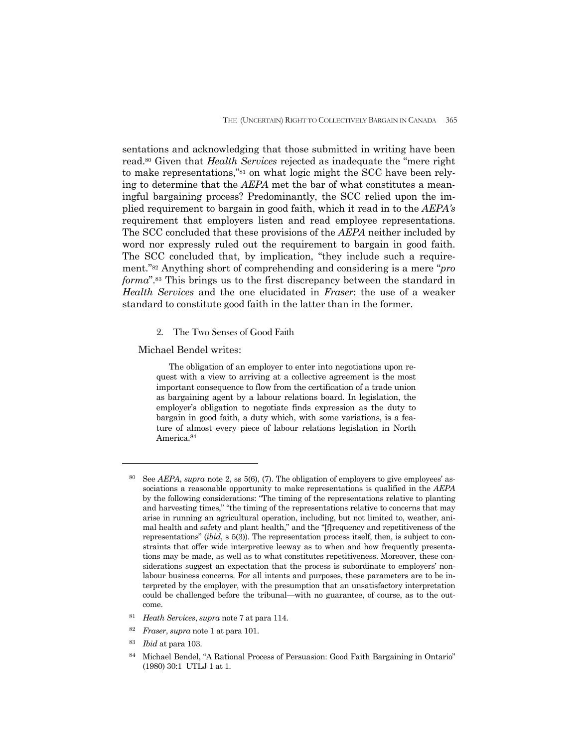sentations and acknowledging that those submitted in writing have been read.80 Given that *Health Services* rejected as inadequate the "mere right to make representations,"81 on what logic might the SCC have been relying to determine that the *AEPA* met the bar of what constitutes a meaningful bargaining process? Predominantly, the SCC relied upon the implied requirement to bargain in good faith, which it read in to the *AEPA's*  requirement that employers listen and read employee representations. The SCC concluded that these provisions of the *AEPA* neither included by word nor expressly ruled out the requirement to bargain in good faith. The SCC concluded that, by implication, "they include such a requirement."82 Anything short of comprehending and considering is a mere "*pro forma*".83 This brings us to the first discrepancy between the standard in *Health Services* and the one elucidated in *Fraser*: the use of a weaker standard to constitute good faith in the latter than in the former.

2. The Two Senses of Good Faith

Michael Bendel writes:

 The obligation of an employer to enter into negotiations upon request with a view to arriving at a collective agreement is the most important consequence to flow from the certification of a trade union as bargaining agent by a labour relations board. In legislation, the employer's obligation to negotiate finds expression as the duty to bargain in good faith, a duty which, with some variations, is a feature of almost every piece of labour relations legislation in North America.84

- <sup>81</sup> *Heath Services*, *supra* note 7 at para 114.
- <sup>82</sup> *Fraser*, *supra* note 1 at para 101.
- <sup>83</sup> *Ibid* at para 103.

See *AEPA*, *supra* note 2, ss 5(6), (7). The obligation of employers to give employees' associations a reasonable opportunity to make representations is qualified in the *AEPA* by the following considerations: "The timing of the representations relative to planting and harvesting times," "the timing of the representations relative to concerns that may arise in running an agricultural operation, including, but not limited to, weather, animal health and safety and plant health," and the "[f]requency and repetitiveness of the representations" (*ibid*, s 5(3)). The representation process itself, then, is subject to constraints that offer wide interpretive leeway as to when and how frequently presentations may be made, as well as to what constitutes repetitiveness. Moreover, these considerations suggest an expectation that the process is subordinate to employers' nonlabour business concerns. For all intents and purposes, these parameters are to be interpreted by the employer, with the presumption that an unsatisfactory interpretation could be challenged before the tribunal—with no guarantee, of course, as to the outcome.

<sup>84</sup> Michael Bendel, "A Rational Process of Persuasion: Good Faith Bargaining in Ontario" (1980) 30:1 UTLJ 1 at 1.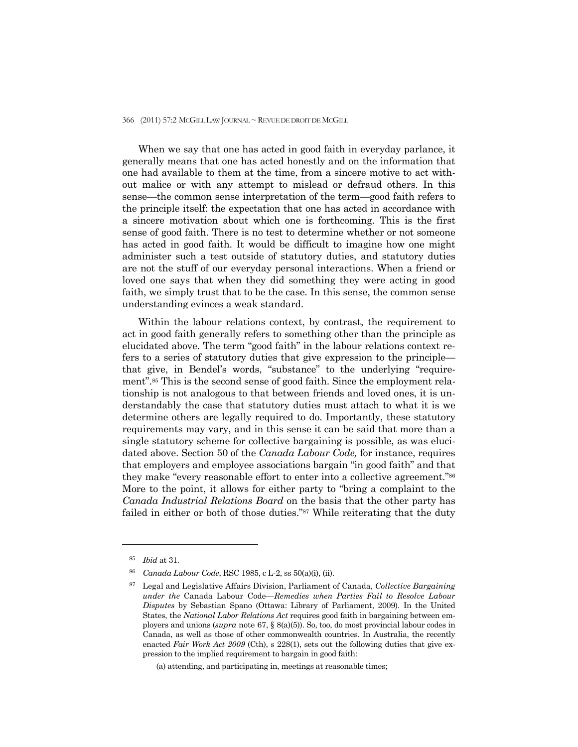When we say that one has acted in good faith in everyday parlance, it generally means that one has acted honestly and on the information that one had available to them at the time, from a sincere motive to act without malice or with any attempt to mislead or defraud others. In this sense—the common sense interpretation of the term—good faith refers to the principle itself: the expectation that one has acted in accordance with a sincere motivation about which one is forthcoming. This is the first sense of good faith. There is no test to determine whether or not someone has acted in good faith. It would be difficult to imagine how one might administer such a test outside of statutory duties, and statutory duties are not the stuff of our everyday personal interactions. When a friend or loved one says that when they did something they were acting in good faith, we simply trust that to be the case. In this sense, the common sense understanding evinces a weak standard.

 Within the labour relations context, by contrast, the requirement to act in good faith generally refers to something other than the principle as elucidated above. The term "good faith" in the labour relations context refers to a series of statutory duties that give expression to the principle that give, in Bendel's words, "substance" to the underlying "requirement".85 This is the second sense of good faith. Since the employment relationship is not analogous to that between friends and loved ones, it is understandably the case that statutory duties must attach to what it is we determine others are legally required to do. Importantly, these statutory requirements may vary, and in this sense it can be said that more than a single statutory scheme for collective bargaining is possible, as was elucidated above. Section 50 of the *Canada Labour Code,* for instance, requires that employers and employee associations bargain "in good faith" and that they make "every reasonable effort to enter into a collective agreement."86 More to the point, it allows for either party to "bring a complaint to the *Canada Industrial Relations Board* on the basis that the other party has failed in either or both of those duties."<sup>87</sup> While reiterating that the duty

<sup>85</sup> *Ibid* at 31.

<sup>86</sup> *Canada Labour Code*, RSC 1985, c L-2, ss 50(a)(i), (ii).

<sup>87</sup> Legal and Legislative Affairs Division, Parliament of Canada, *Collective Bargaining under the* Canada Labour Code—*Remedies when Parties Fail to Resolve Labour Disputes* by Sebastian Spano (Ottawa: Library of Parliament, 2009). In the United States, the *National Labor Relations Act* requires good faith in bargaining between employers and unions (*supra* note 67, § 8(a)(5)). So, too, do most provincial labour codes in Canada, as well as those of other commonwealth countries. In Australia, the recently enacted *Fair Work Act 2009* (Cth), s 228(1), sets out the following duties that give expression to the implied requirement to bargain in good faith:

 <sup>(</sup>a) attending, and participating in, meetings at reasonable times;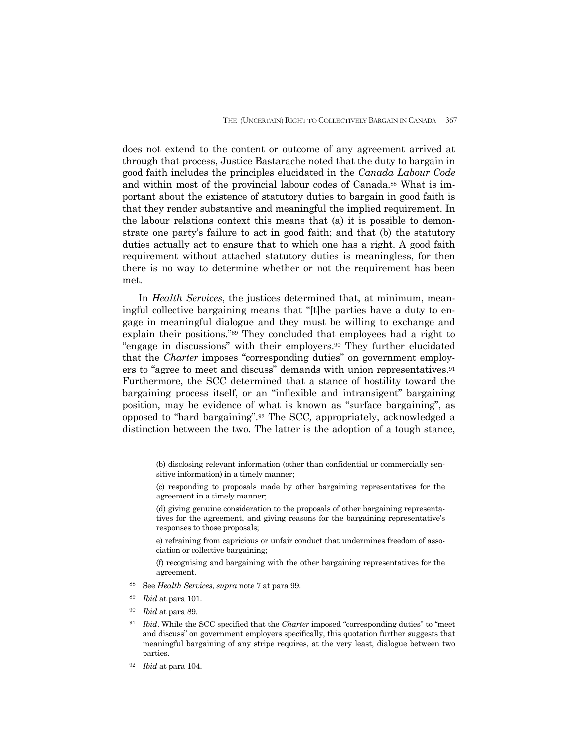does not extend to the content or outcome of any agreement arrived at through that process, Justice Bastarache noted that the duty to bargain in good faith includes the principles elucidated in the *Canada Labour Code* and within most of the provincial labour codes of Canada.<sup>88</sup> What is important about the existence of statutory duties to bargain in good faith is that they render substantive and meaningful the implied requirement. In the labour relations context this means that (a) it is possible to demonstrate one party's failure to act in good faith; and that (b) the statutory duties actually act to ensure that to which one has a right. A good faith requirement without attached statutory duties is meaningless, for then there is no way to determine whether or not the requirement has been met.

 In *Health Services*, the justices determined that, at minimum, meaningful collective bargaining means that "[t]he parties have a duty to engage in meaningful dialogue and they must be willing to exchange and explain their positions."89 They concluded that employees had a right to "engage in discussions" with their employers.90 They further elucidated that the *Charter* imposes "corresponding duties" on government employers to "agree to meet and discuss" demands with union representatives.91 Furthermore, the SCC determined that a stance of hostility toward the bargaining process itself, or an "inflexible and intransigent" bargaining position, may be evidence of what is known as "surface bargaining", as opposed to "hard bargaining".92 The SCC*,* appropriately, acknowledged a distinction between the two. The latter is the adoption of a tough stance,

- 88 See *Health Services*, *supra* note 7 at para 99.
- <sup>89</sup> *Ibid* at para 101.

 $\overline{a}$ 

<sup>90</sup> *Ibid* at para 89.

 <sup>(</sup>b) disclosing relevant information (other than confidential or commercially sensitive information) in a timely manner;

 <sup>(</sup>c) responding to proposals made by other bargaining representatives for the agreement in a timely manner;

 <sup>(</sup>d) giving genuine consideration to the proposals of other bargaining representatives for the agreement, and giving reasons for the bargaining representative's responses to those proposals;

e) refraining from capricious or unfair conduct that undermines freedom of association or collective bargaining;

 <sup>(</sup>f) recognising and bargaining with the other bargaining representatives for the agreement.

<sup>91</sup> *Ibid*. While the SCC specified that the *Charter* imposed "corresponding duties" to "meet and discuss" on government employers specifically, this quotation further suggests that meaningful bargaining of any stripe requires, at the very least, dialogue between two parties.

<sup>92</sup> *Ibid* at para 104.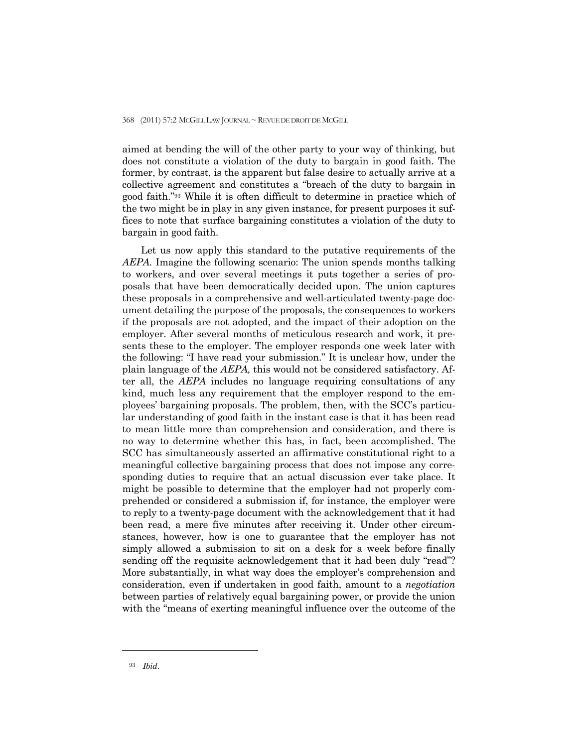aimed at bending the will of the other party to your way of thinking, but does not constitute a violation of the duty to bargain in good faith. The former, by contrast, is the apparent but false desire to actually arrive at a collective agreement and constitutes a "breach of the duty to bargain in good faith."93 While it is often difficult to determine in practice which of the two might be in play in any given instance, for present purposes it suffices to note that surface bargaining constitutes a violation of the duty to bargain in good faith.

 Let us now apply this standard to the putative requirements of the *AEPA.* Imagine the following scenario: The union spends months talking to workers, and over several meetings it puts together a series of proposals that have been democratically decided upon. The union captures these proposals in a comprehensive and well-articulated twenty-page document detailing the purpose of the proposals, the consequences to workers if the proposals are not adopted, and the impact of their adoption on the employer. After several months of meticulous research and work, it presents these to the employer. The employer responds one week later with the following: "I have read your submission." It is unclear how, under the plain language of the *AEPA,* this would not be considered satisfactory. After all, the *AEPA* includes no language requiring consultations of any kind, much less any requirement that the employer respond to the employees' bargaining proposals. The problem, then, with the SCC's particular understanding of good faith in the instant case is that it has been read to mean little more than comprehension and consideration, and there is no way to determine whether this has, in fact, been accomplished. The SCC has simultaneously asserted an affirmative constitutional right to a meaningful collective bargaining process that does not impose any corresponding duties to require that an actual discussion ever take place. It might be possible to determine that the employer had not properly comprehended or considered a submission if, for instance, the employer were to reply to a twenty-page document with the acknowledgement that it had been read, a mere five minutes after receiving it. Under other circumstances, however, how is one to guarantee that the employer has not simply allowed a submission to sit on a desk for a week before finally sending off the requisite acknowledgement that it had been duly "read"? More substantially, in what way does the employer's comprehension and consideration, even if undertaken in good faith, amount to a *negotiation* between parties of relatively equal bargaining power, or provide the union with the "means of exerting meaningful influence over the outcome of the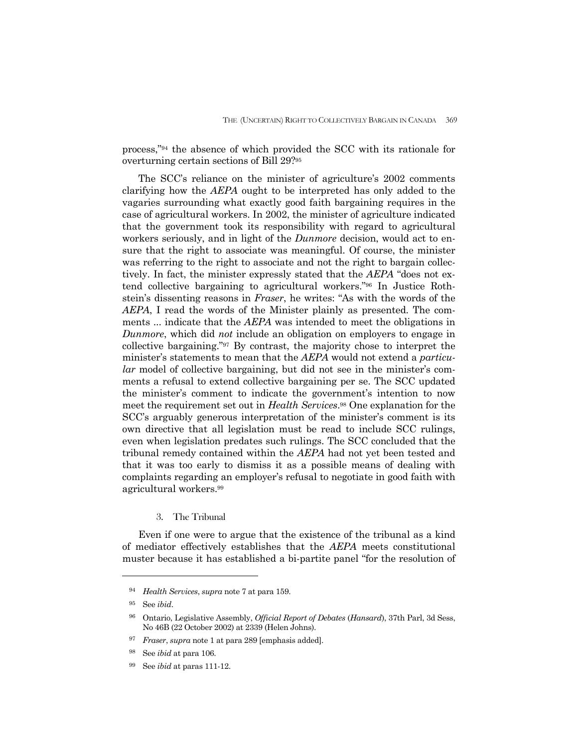process,"94 the absence of which provided the SCC with its rationale for overturning certain sections of Bill 29?95

 The SCC's reliance on the minister of agriculture's 2002 comments clarifying how the *AEPA* ought to be interpreted has only added to the vagaries surrounding what exactly good faith bargaining requires in the case of agricultural workers. In 2002, the minister of agriculture indicated that the government took its responsibility with regard to agricultural workers seriously, and in light of the *Dunmore* decision, would act to ensure that the right to associate was meaningful. Of course, the minister was referring to the right to associate and not the right to bargain collectively. In fact, the minister expressly stated that the *AEPA* "does not extend collective bargaining to agricultural workers."96 In Justice Rothstein's dissenting reasons in *Fraser*, he writes: "As with the words of the *AEPA*, I read the words of the Minister plainly as presented. The comments ... indicate that the *AEPA* was intended to meet the obligations in *Dunmore*, which did *not* include an obligation on employers to engage in collective bargaining."97 By contrast, the majority chose to interpret the minister's statements to mean that the *AEPA* would not extend a *particular* model of collective bargaining, but did not see in the minister's comments a refusal to extend collective bargaining per se. The SCC updated the minister's comment to indicate the government's intention to now meet the requirement set out in *Health Services*.98 One explanation for the SCC's arguably generous interpretation of the minister's comment is its own directive that all legislation must be read to include SCC rulings, even when legislation predates such rulings. The SCC concluded that the tribunal remedy contained within the *AEPA* had not yet been tested and that it was too early to dismiss it as a possible means of dealing with complaints regarding an employer's refusal to negotiate in good faith with agricultural workers.99

#### 3. The Tribunal

 Even if one were to argue that the existence of the tribunal as a kind of mediator effectively establishes that the *AEPA* meets constitutional muster because it has established a bi-partite panel "for the resolution of

<sup>94</sup> *Health Services*, *supra* note 7 at para 159.

<sup>95</sup> See *ibid*.

<sup>96</sup> Ontario, Legislative Assembly, *Official Report of Debates* (*Hansard*), 37th Parl, 3d Sess, No 46B (22 October 2002) at 2339 (Helen Johns).

<sup>97</sup> *Fraser*, *supra* note 1 at para 289 [emphasis added].

<sup>98</sup> See *ibid* at para 106.

<sup>99</sup> See *ibid* at paras 111-12.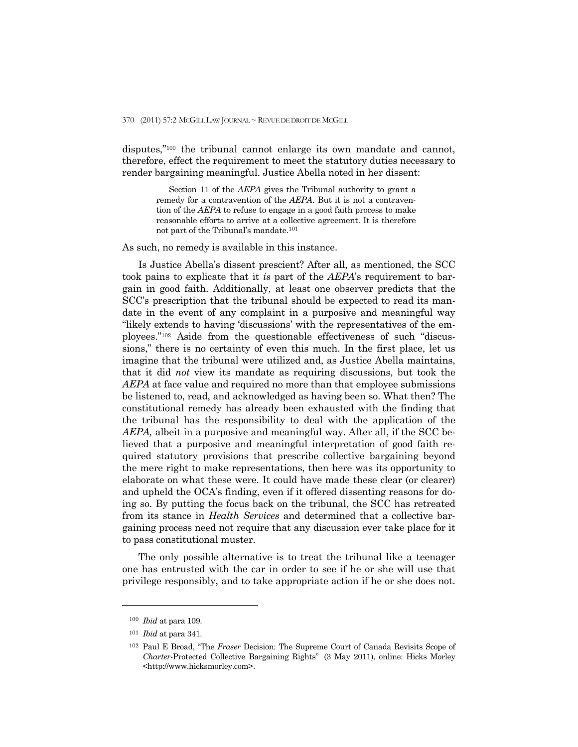disputes,"100 the tribunal cannot enlarge its own mandate and cannot, therefore, effect the requirement to meet the statutory duties necessary to render bargaining meaningful. Justice Abella noted in her dissent:

> Section 11 of the *AEPA* gives the Tribunal authority to grant a remedy for a contravention of the *AEPA*. But it is not a contravention of the *AEPA* to refuse to engage in a good faith process to make reasonable efforts to arrive at a collective agreement. It is therefore not part of the Tribunal's mandate.101

As such, no remedy is available in this instance.

 Is Justice Abella's dissent prescient? After all, as mentioned, the SCC took pains to explicate that it *is* part of the *AEPA*'s requirement to bargain in good faith. Additionally, at least one observer predicts that the SCC's prescription that the tribunal should be expected to read its mandate in the event of any complaint in a purposive and meaningful way "likely extends to having 'discussions' with the representatives of the employees."102 Aside from the questionable effectiveness of such "discussions," there is no certainty of even this much. In the first place, let us imagine that the tribunal were utilized and, as Justice Abella maintains, that it did *not* view its mandate as requiring discussions, but took the *AEPA* at face value and required no more than that employee submissions be listened to, read, and acknowledged as having been so. What then? The constitutional remedy has already been exhausted with the finding that the tribunal has the responsibility to deal with the application of the *AEPA,* albeit in a purposive and meaningful way. After all, if the SCC believed that a purposive and meaningful interpretation of good faith required statutory provisions that prescribe collective bargaining beyond the mere right to make representations, then here was its opportunity to elaborate on what these were. It could have made these clear (or clearer) and upheld the OCA's finding, even if it offered dissenting reasons for doing so. By putting the focus back on the tribunal, the SCC has retreated from its stance in *Health Services* and determined that a collective bargaining process need not require that any discussion ever take place for it to pass constitutional muster.

 The only possible alternative is to treat the tribunal like a teenager one has entrusted with the car in order to see if he or she will use that privilege responsibly, and to take appropriate action if he or she does not.

<sup>100</sup> *Ibid* at para 109.

<sup>101</sup> *Ibid* at para 341.

<sup>102</sup> Paul E Broad, "The *Fraser* Decision: The Supreme Court of Canada Revisits Scope of *Charter*-Protected Collective Bargaining Rights" (3 May 2011), online: Hicks Morley <http://www.hicksmorley.com>.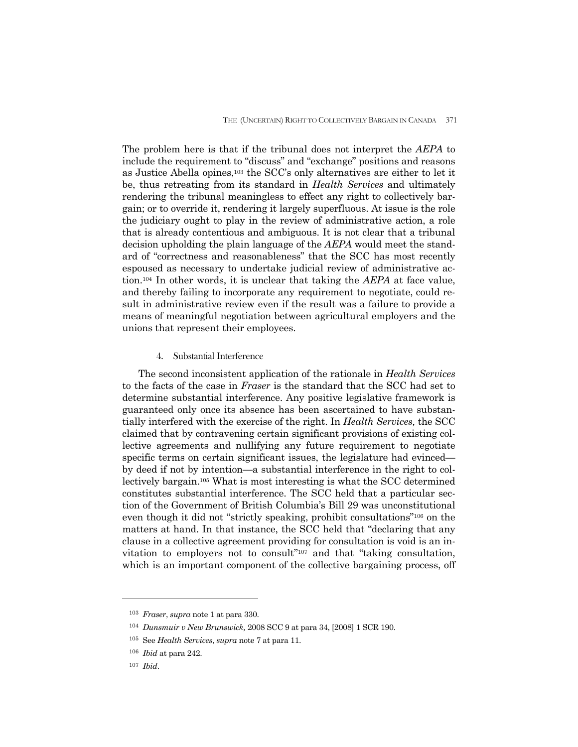The problem here is that if the tribunal does not interpret the *AEPA* to include the requirement to "discuss" and "exchange" positions and reasons as Justice Abella opines,103 the SCC's only alternatives are either to let it be, thus retreating from its standard in *Health Services* and ultimately rendering the tribunal meaningless to effect any right to collectively bargain; or to override it, rendering it largely superfluous. At issue is the role the judiciary ought to play in the review of administrative action, a role that is already contentious and ambiguous. It is not clear that a tribunal decision upholding the plain language of the *AEPA* would meet the standard of "correctness and reasonableness" that the SCC has most recently espoused as necessary to undertake judicial review of administrative action.104 In other words, it is unclear that taking the *AEPA* at face value, and thereby failing to incorporate any requirement to negotiate, could result in administrative review even if the result was a failure to provide a means of meaningful negotiation between agricultural employers and the unions that represent their employees.

#### 4. Substantial Interference

 The second inconsistent application of the rationale in *Health Services* to the facts of the case in *Fraser* is the standard that the SCC had set to determine substantial interference. Any positive legislative framework is guaranteed only once its absence has been ascertained to have substantially interfered with the exercise of the right. In *Health Services,* the SCC claimed that by contravening certain significant provisions of existing collective agreements and nullifying any future requirement to negotiate specific terms on certain significant issues, the legislature had evinced by deed if not by intention—a substantial interference in the right to collectively bargain.105 What is most interesting is what the SCC determined constitutes substantial interference. The SCC held that a particular section of the Government of British Columbia's Bill 29 was unconstitutional even though it did not "strictly speaking, prohibit consultations"106 on the matters at hand. In that instance, the SCC held that "declaring that any clause in a collective agreement providing for consultation is void is an invitation to employers not to consult"107 and that "taking consultation, which is an important component of the collective bargaining process, off

<sup>103</sup> *Fraser*, *supra* note 1 at para 330.

<sup>104</sup> *Dunsmuir v New Brunswick,* 2008 SCC 9 at para 34, [2008] 1 SCR 190.

<sup>105</sup> See *Health Services*, *supra* note 7 at para 11.

<sup>106</sup> *Ibid* at para 242.

<sup>107</sup> *Ibid*.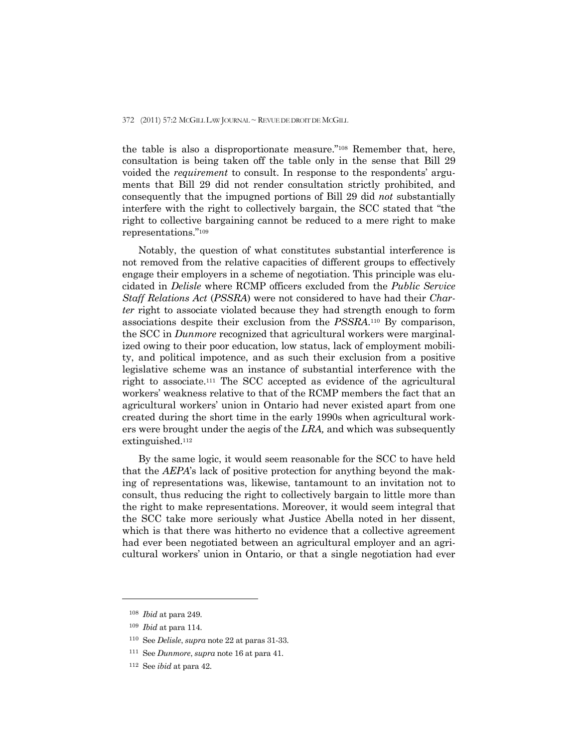the table is also a disproportionate measure."108 Remember that, here, consultation is being taken off the table only in the sense that Bill 29 voided the *requirement* to consult. In response to the respondents' arguments that Bill 29 did not render consultation strictly prohibited, and consequently that the impugned portions of Bill 29 did *not* substantially interfere with the right to collectively bargain, the SCC stated that "the right to collective bargaining cannot be reduced to a mere right to make representations."109

 Notably, the question of what constitutes substantial interference is not removed from the relative capacities of different groups to effectively engage their employers in a scheme of negotiation. This principle was elucidated in *Delisle* where RCMP officers excluded from the *Public Service Staff Relations Act* (*PSSRA*) were not considered to have had their *Charter* right to associate violated because they had strength enough to form associations despite their exclusion from the *PSSRA*.110 By comparison, the SCC in *Dunmore* recognized that agricultural workers were marginalized owing to their poor education, low status, lack of employment mobility, and political impotence, and as such their exclusion from a positive legislative scheme was an instance of substantial interference with the right to associate.111 The SCC accepted as evidence of the agricultural workers' weakness relative to that of the RCMP members the fact that an agricultural workers' union in Ontario had never existed apart from one created during the short time in the early 1990s when agricultural workers were brought under the aegis of the *LRA,* and which was subsequently extinguished.112

 By the same logic, it would seem reasonable for the SCC to have held that the *AEPA*'s lack of positive protection for anything beyond the making of representations was, likewise, tantamount to an invitation not to consult, thus reducing the right to collectively bargain to little more than the right to make representations. Moreover, it would seem integral that the SCC take more seriously what Justice Abella noted in her dissent, which is that there was hitherto no evidence that a collective agreement had ever been negotiated between an agricultural employer and an agricultural workers' union in Ontario, or that a single negotiation had ever

<sup>108</sup> *Ibid* at para 249.

<sup>109</sup> *Ibid* at para 114.

<sup>110</sup> See *Delisle*, *supra* note 22 at paras 31-33.

<sup>111</sup> See *Dunmore*, *supra* note 16 at para 41.

<sup>112</sup> See *ibid* at para 42.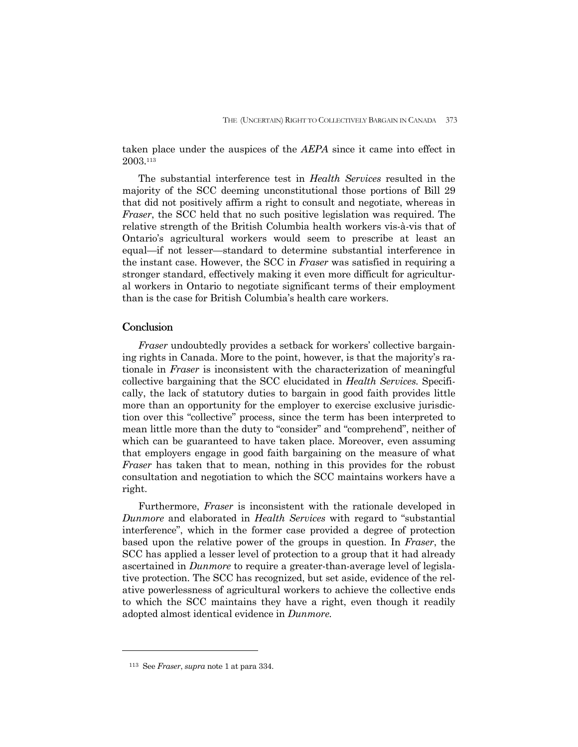taken place under the auspices of the *AEPA* since it came into effect in 2003.113

 The substantial interference test in *Health Services* resulted in the majority of the SCC deeming unconstitutional those portions of Bill 29 that did not positively affirm a right to consult and negotiate, whereas in *Fraser*, the SCC held that no such positive legislation was required. The relative strength of the British Columbia health workers vis-à-vis that of Ontario's agricultural workers would seem to prescribe at least an equal—if not lesser—standard to determine substantial interference in the instant case. However, the SCC in *Fraser* was satisfied in requiring a stronger standard, effectively making it even more difficult for agricultural workers in Ontario to negotiate significant terms of their employment than is the case for British Columbia's health care workers.

## **Conclusion**

 *Fraser* undoubtedly provides a setback for workers' collective bargaining rights in Canada. More to the point, however, is that the majority's rationale in *Fraser* is inconsistent with the characterization of meaningful collective bargaining that the SCC elucidated in *Health Services.* Specifically, the lack of statutory duties to bargain in good faith provides little more than an opportunity for the employer to exercise exclusive jurisdiction over this "collective" process, since the term has been interpreted to mean little more than the duty to "consider" and "comprehend", neither of which can be guaranteed to have taken place. Moreover, even assuming that employers engage in good faith bargaining on the measure of what *Fraser* has taken that to mean, nothing in this provides for the robust consultation and negotiation to which the SCC maintains workers have a right.

 Furthermore, *Fraser* is inconsistent with the rationale developed in *Dunmore* and elaborated in *Health Services* with regard to "substantial interference", which in the former case provided a degree of protection based upon the relative power of the groups in question. In *Fraser*, the SCC has applied a lesser level of protection to a group that it had already ascertained in *Dunmore* to require a greater-than-average level of legislative protection. The SCC has recognized, but set aside, evidence of the relative powerlessness of agricultural workers to achieve the collective ends to which the SCC maintains they have a right, even though it readily adopted almost identical evidence in *Dunmore.*

<sup>113</sup> See *Fraser*, *supra* note 1 at para 334.